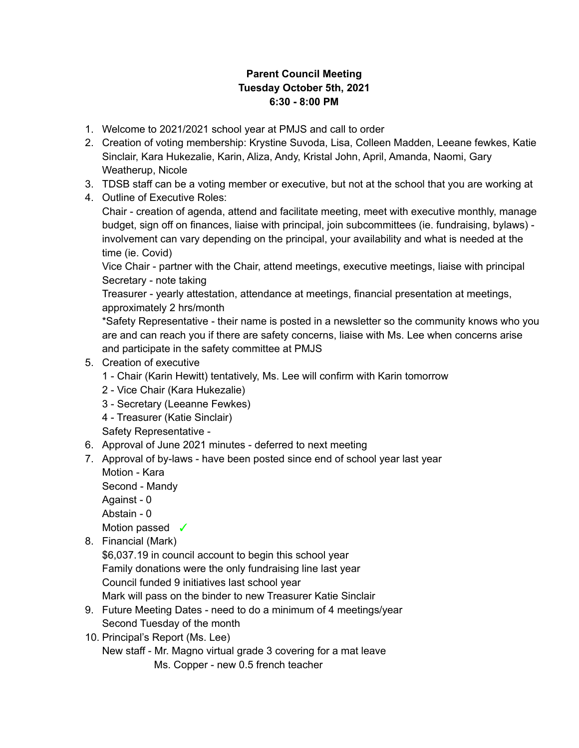## **Parent Council Meeting Tuesday October 5th, 2021 6:30 - 8:00 PM**

- 1. Welcome to 2021/2021 school year at PMJS and call to order
- 2. Creation of voting membership: Krystine Suvoda, Lisa, Colleen Madden, Leeane fewkes, Katie Sinclair, Kara Hukezalie, Karin, Aliza, Andy, Kristal John, April, Amanda, Naomi, Gary Weatherup, Nicole
- 3. TDSB staff can be a voting member or executive, but not at the school that you are working at
- 4. Outline of Executive Roles:

Chair - creation of agenda, attend and facilitate meeting, meet with executive monthly, manage budget, sign off on finances, liaise with principal, join subcommittees (ie. fundraising, bylaws) involvement can vary depending on the principal, your availability and what is needed at the time (ie. Covid)

Vice Chair - partner with the Chair, attend meetings, executive meetings, liaise with principal Secretary - note taking

Treasurer - yearly attestation, attendance at meetings, financial presentation at meetings, approximately 2 hrs/month

\*Safety Representative - their name is posted in a newsletter so the community knows who you are and can reach you if there are safety concerns, liaise with Ms. Lee when concerns arise and participate in the safety committee at PMJS

## 5. Creation of executive

- 1 Chair (Karin Hewitt) tentatively, Ms. Lee will confirm with Karin tomorrow
- 2 Vice Chair (Kara Hukezalie)
- 3 Secretary (Leeanne Fewkes)
- 4 Treasurer (Katie Sinclair)

Safety Representative -

- 6. Approval of June 2021 minutes deferred to next meeting
- 7. Approval of by-laws have been posted since end of school year last year Motion - Kara

Second - Mandy

Against - 0

Abstain - 0

Motion passed <del>✓</del>

8. Financial (Mark)

\$6,037.19 in council account to begin this school year Family donations were the only fundraising line last year Council funded 9 initiatives last school year Mark will pass on the binder to new Treasurer Katie Sinclair

- 9. Future Meeting Dates need to do a minimum of 4 meetings/year Second Tuesday of the month
- 10. Principal's Report (Ms. Lee)

New staff - Mr. Magno virtual grade 3 covering for a mat leave Ms. Copper - new 0.5 french teacher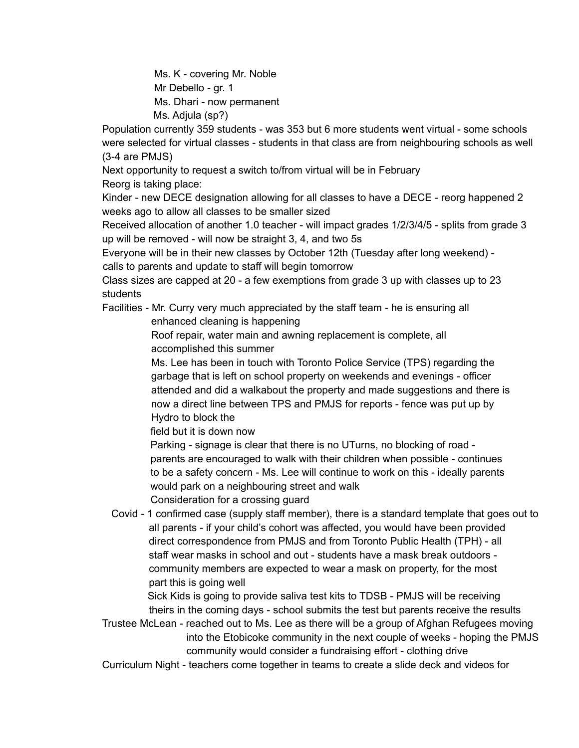Ms. K - covering Mr. Noble Mr Debello - gr. 1 Ms. Dhari - now permanent Ms. Adjula (sp?)

Population currently 359 students - was 353 but 6 more students went virtual - some schools were selected for virtual classes - students in that class are from neighbouring schools as well (3-4 are PMJS)

Next opportunity to request a switch to/from virtual will be in February Reorg is taking place:

Kinder - new DECE designation allowing for all classes to have a DECE - reorg happened 2 weeks ago to allow all classes to be smaller sized

Received allocation of another 1.0 teacher - will impact grades 1/2/3/4/5 - splits from grade 3 up will be removed - will now be straight 3, 4, and two 5s

Everyone will be in their new classes by October 12th (Tuesday after long weekend) calls to parents and update to staff will begin tomorrow

Class sizes are capped at 20 - a few exemptions from grade 3 up with classes up to 23 students

Facilities - Mr. Curry very much appreciated by the staff team - he is ensuring all enhanced cleaning is happening

> Roof repair, water main and awning replacement is complete, all accomplished this summer

Ms. Lee has been in touch with Toronto Police Service (TPS) regarding the garbage that is left on school property on weekends and evenings - officer attended and did a walkabout the property and made suggestions and there is now a direct line between TPS and PMJS for reports - fence was put up by Hydro to block the

field but it is down now

Parking - signage is clear that there is no UTurns, no blocking of road parents are encouraged to walk with their children when possible - continues to be a safety concern - Ms. Lee will continue to work on this - ideally parents would park on a neighbouring street and walk Consideration for a crossing guard

Covid - 1 confirmed case (supply staff member), there is a standard template that goes out to all parents - if your child's cohort was affected, you would have been provided direct correspondence from PMJS and from Toronto Public Health (TPH) - all staff wear masks in school and out - students have a mask break outdoors community members are expected to wear a mask on property, for the most

part this is going well

Sick Kids is going to provide saliva test kits to TDSB - PMJS will be receiving theirs in the coming days - school submits the test but parents receive the results

Trustee McLean - reached out to Ms. Lee as there will be a group of Afghan Refugees moving into the Etobicoke community in the next couple of weeks - hoping the PMJS community would consider a fundraising effort - clothing drive

Curriculum Night - teachers come together in teams to create a slide deck and videos for